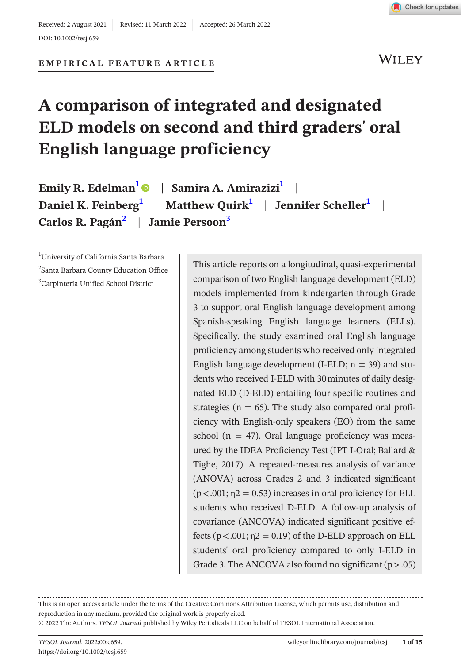

**WILEY** 

#### **EMPIRICAL FEATURE ARTICLE**

# **A comparison of integrated and designated ELD models on second and third graders' oral English language proficiency**

| Emily R. Edelman <sup>1</sup> ©   Samira A. Amirazizi <sup>1</sup>             |  |
|--------------------------------------------------------------------------------|--|
| Daniel K. Feinberg $\vert$   Matthew Quirk $\vert$   Jennifer Scheller $\vert$ |  |
| Carlos R. Pagán <sup>2</sup>   Jamie Persoon <sup>3</sup>                      |  |

<span id="page-0-2"></span><span id="page-0-1"></span><span id="page-0-0"></span>1 University of California Santa Barbara <sup>2</sup>Santa Barbara County Education Office 3 Carpinteria Unified School District

This article reports on a longitudinal, quasi-experimental comparison of two English language development (ELD) models implemented from kindergarten through Grade 3 to support oral English language development among Spanish-speaking English language learners (ELLs). Specifically, the study examined oral English language proficiency among students who received only integrated English language development (I-ELD;  $n = 39$ ) and students who received I-ELD with 30minutes of daily designated ELD (D-ELD) entailing four specific routines and strategies ( $n = 65$ ). The study also compared oral proficiency with English-only speakers (EO) from the same school ( $n = 47$ ). Oral language proficiency was measured by the IDEA Proficiency Test (IPT I-Oral; Ballard & Tighe, 2017). A repeated-measures analysis of variance (ANOVA) across Grades 2 and 3 indicated significant  $(p<.001; \eta2 = 0.53)$  increases in oral proficiency for ELL students who received D-ELD. A follow-up analysis of covariance (ANCOVA) indicated significant positive effects  $(p < .001; \eta2 = 0.19)$  of the D-ELD approach on ELL students' oral proficiency compared to only I-ELD in Grade 3. The ANCOVA also found no significant  $(p > .05)$ 

This is an open access article under the terms of the Creative Commons Attribution License, which permits use, distribution and reproduction in any medium, provided the original work is properly cited.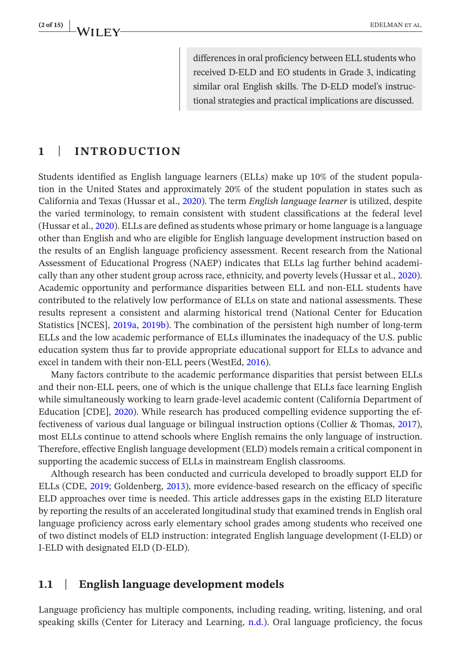differences in oral proficiency between ELL students who received D-ELD and EO students in Grade 3, indicating similar oral English skills. The D-ELD model's instructional strategies and practical implications are discussed.

#### **1** | **INTRODUCTION**

Students identified as English language learners (ELLs) make up 10% of the student population in the United States and approximately 20% of the student population in states such as California and Texas (Hussar et al., [2020\)](#page-13-0). The term *English language learner* is utilized, despite the varied terminology, to remain consistent with student classifications at the federal level (Hussar et al., [2020\)](#page-13-0). ELLs are defined as students whose primary or home language is a language other than English and who are eligible for English language development instruction based on the results of an English language proficiency assessment. Recent research from the National Assessment of Educational Progress (NAEP) indicates that ELLs lag further behind academically than any other student group across race, ethnicity, and poverty levels (Hussar et al., [2020](#page-13-0)). Academic opportunity and performance disparities between ELL and non-ELL students have contributed to the relatively low performance of ELLs on state and national assessments. These results represent a consistent and alarming historical trend (National Center for Education Statistics [NCES], [2019a,](#page-14-0) [2019b](#page-14-1)). The combination of the persistent high number of long-term ELLs and the low academic performance of ELLs illuminates the inadequacy of the U.S. public education system thus far to provide appropriate educational support for ELLs to advance and excel in tandem with their non-ELL peers (WestEd, [2016](#page-14-2)).

Many factors contribute to the academic performance disparities that persist between ELLs and their non-ELL peers, one of which is the unique challenge that ELLs face learning English while simultaneously working to learn grade-level academic content (California Department of Education [CDE], [2020\)](#page-12-0). While research has produced compelling evidence supporting the effectiveness of various dual language or bilingual instruction options (Collier & Thomas, [2017](#page-12-1)), most ELLs continue to attend schools where English remains the only language of instruction. Therefore, effective English language development (ELD) models remain a critical component in supporting the academic success of ELLs in mainstream English classrooms.

Although research has been conducted and curricula developed to broadly support ELD for ELLs (CDE, [2019;](#page-12-2) Goldenberg, [2013\)](#page-13-1), more evidence-based research on the efficacy of specific ELD approaches over time is needed. This article addresses gaps in the existing ELD literature by reporting the results of an accelerated longitudinal study that examined trends in English oral language proficiency across early elementary school grades among students who received one of two distinct models of ELD instruction: integrated English language development (I-ELD) or I-ELD with designated ELD (D-ELD).

### **1.1** | **English language development models**

Language proficiency has multiple components, including reading, writing, listening, and oral speaking skills (Center for Literacy and Learning, [n.d.](#page-12-3)). Oral language proficiency, the focus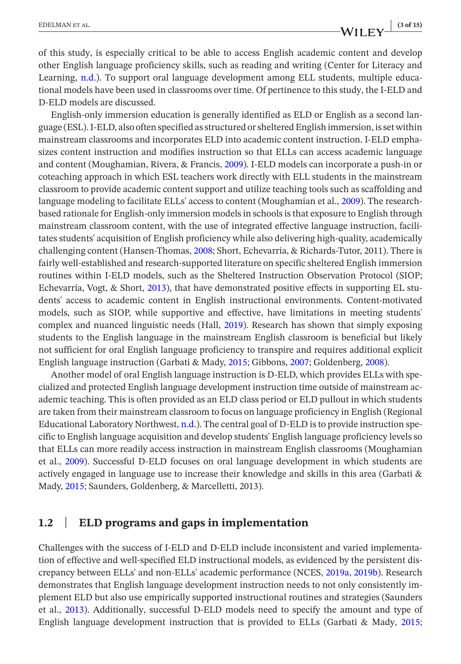## **EDELMAN ET AL.** (3 of 15)<br> **CONTRACTLY**  $\frac{1}{2}$  (3 of 15)

of this study, is especially critical to be able to access English academic content and develop other English language proficiency skills, such as reading and writing (Center for Literacy and Learning, [n.d.](#page-12-3)). To support oral language development among ELL students, multiple educational models have been used in classrooms over time. Of pertinence to this study, the I-ELD and D-ELD models are discussed.

English-only immersion education is generally identified as ELD or English as a second language (ESL). I-ELD, also often specified as structured or sheltered English immersion, is set within mainstream classrooms and incorporates ELD into academic content instruction. I-ELD emphasizes content instruction and modifies instruction so that ELLs can access academic language and content (Moughamian, Rivera, & Francis, [2009\)](#page-14-3). I-ELD models can incorporate a push-in or coteaching approach in which ESL teachers work directly with ELL students in the mainstream classroom to provide academic content support and utilize teaching tools such as scaffolding and language modeling to facilitate ELLs' access to content (Moughamian et al., [2009\)](#page-14-3). The researchbased rationale for English-only immersion models in schools is that exposure to English through mainstream classroom content, with the use of integrated effective language instruction, facilitates students' acquisition of English proficiency while also delivering high-quality, academically challenging content (Hansen-Thomas, [2008;](#page-13-2) Short, Echevarría, & Richards-Tutor, 2011). There is fairly well-established and research-supported literature on specific sheltered English immersion routines within I-ELD models, such as the Sheltered Instruction Observation Protocol (SIOP; Echevarría, Vogt, & Short, [2013\)](#page-13-3), that have demonstrated positive effects in supporting EL students' access to academic content in English instructional environments. Content-motivated models, such as SIOP, while supportive and effective, have limitations in meeting students' complex and nuanced linguistic needs (Hall, [2019\)](#page-13-4). Research has shown that simply exposing students to the English language in the mainstream English classroom is beneficial but likely not sufficient for oral English language proficiency to transpire and requires additional explicit English language instruction (Garbati & Mady, [2015](#page-13-5); Gibbons, [2007;](#page-13-6) Goldenberg, [2008](#page-13-7)).

Another model of oral English language instruction is D-ELD, which provides ELLs with specialized and protected English language development instruction time outside of mainstream academic teaching. This is often provided as an ELD class period or ELD pullout in which students are taken from their mainstream classroom to focus on language proficiency in English (Regional Educational Laboratory Northwest, [n.d.\)](#page-14-4). The central goal of D-ELD is to provide instruction specific to English language acquisition and develop students' English language proficiency levels so that ELLs can more readily access instruction in mainstream English classrooms (Moughamian et al., [2009](#page-14-3)). Successful D-ELD focuses on oral language development in which students are actively engaged in language use to increase their knowledge and skills in this area (Garbati & Mady, [2015;](#page-13-5) Saunders, Goldenberg, & Marcelletti, 2013).

#### **1.2** | **ELD programs and gaps in implementation**

Challenges with the success of I-ELD and D-ELD include inconsistent and varied implementation of effective and well-specified ELD instructional models, as evidenced by the persistent discrepancy between ELLs' and non-ELLs' academic performance (NCES, [2019a](#page-14-0), [2019b](#page-14-1)). Research demonstrates that English language development instruction needs to not only consistently implement ELD but also use empirically supported instructional routines and strategies (Saunders et al., [2013](#page-14-5)). Additionally, successful D-ELD models need to specify the amount and type of English language development instruction that is provided to ELLs (Garbati & Mady, [2015;](#page-13-5)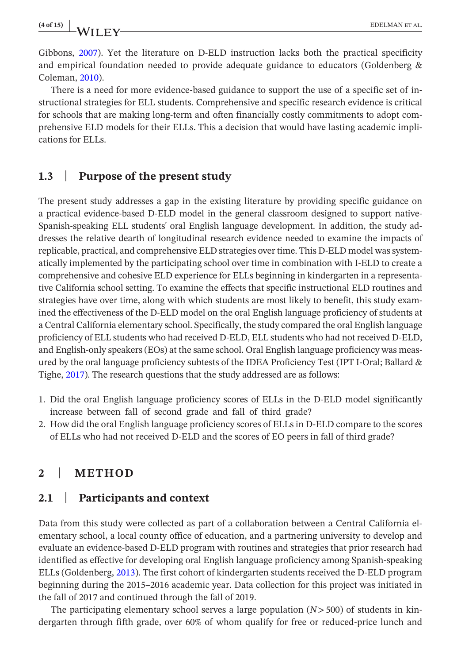**(4 of 15) <sup>|</sup>** EDELMAN et al.

Gibbons, [2007\)](#page-13-6). Yet the literature on D-ELD instruction lacks both the practical specificity and empirical foundation needed to provide adequate guidance to educators (Goldenberg & Coleman, [2010\)](#page-13-8).

There is a need for more evidence-based guidance to support the use of a specific set of instructional strategies for ELL students. Comprehensive and specific research evidence is critical for schools that are making long-term and often financially costly commitments to adopt comprehensive ELD models for their ELLs. This a decision that would have lasting academic implications for ELLs.

#### **1.3** | **Purpose of the present study**

The present study addresses a gap in the existing literature by providing specific guidance on a practical evidence-based D-ELD model in the general classroom designed to support native-Spanish-speaking ELL students' oral English language development. In addition, the study addresses the relative dearth of longitudinal research evidence needed to examine the impacts of replicable, practical, and comprehensive ELD strategies over time. This D-ELD model was systematically implemented by the participating school over time in combination with I-ELD to create a comprehensive and cohesive ELD experience for ELLs beginning in kindergarten in a representative California school setting. To examine the effects that specific instructional ELD routines and strategies have over time, along with which students are most likely to benefit, this study examined the effectiveness of the D-ELD model on the oral English language proficiency of students at a Central California elementary school. Specifically, the study compared the oral English language proficiency of ELL students who had received D-ELD, ELL students who had not received D-ELD, and English-only speakers (EOs) at the same school. Oral English language proficiency was measured by the oral language proficiency subtests of the IDEA Proficiency Test (IPT I-Oral; Ballard & Tighe, [2017\)](#page-12-4). The research questions that the study addressed are as follows:

- 1. Did the oral English language proficiency scores of ELLs in the D-ELD model significantly increase between fall of second grade and fall of third grade?
- 2. How did the oral English language proficiency scores of ELLs in D-ELD compare to the scores of ELLs who had not received D-ELD and the scores of EO peers in fall of third grade?

## **2** | **METHOD**

#### **2.1** | **Participants and context**

Data from this study were collected as part of a collaboration between a Central California elementary school, a local county office of education, and a partnering university to develop and evaluate an evidence-based D-ELD program with routines and strategies that prior research had identified as effective for developing oral English language proficiency among Spanish-speaking ELLs (Goldenberg, [2013](#page-13-1)). The first cohort of kindergarten students received the D-ELD program beginning during the 2015–2016 academic year. Data collection for this project was initiated in the fall of 2017 and continued through the fall of 2019.

The participating elementary school serves a large population (*N*>500) of students in kindergarten through fifth grade, over 60% of whom qualify for free or reduced-price lunch and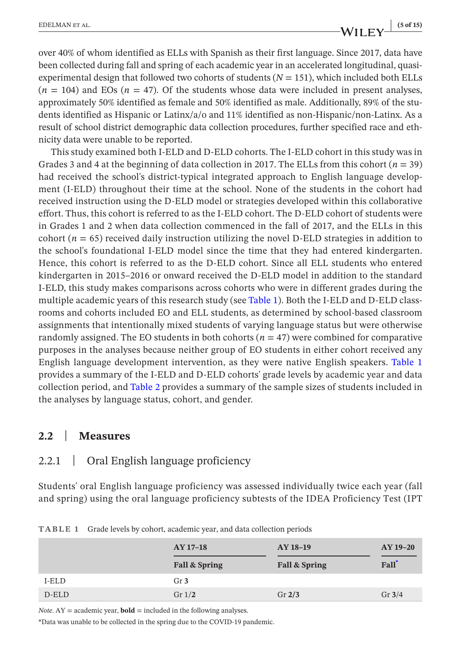over 40% of whom identified as ELLs with Spanish as their first language. Since 2017, data have been collected during fall and spring of each academic year in an accelerated longitudinal, quasiexperimental design that followed two cohorts of students  $(N = 151)$ , which included both ELLs  $(n = 104)$  and EOs  $(n = 47)$ . Of the students whose data were included in present analyses, approximately 50% identified as female and 50% identified as male. Additionally, 89% of the students identified as Hispanic or Latinx/a/o and 11% identified as non-Hispanic/non-Latinx. As a result of school district demographic data collection procedures, further specified race and ethnicity data were unable to be reported.

This study examined both I-ELD and D-ELD cohorts. The I-ELD cohort in this study was in Grades 3 and 4 at the beginning of data collection in 2017. The ELLs from this cohort  $(n = 39)$ had received the school's district-typical integrated approach to English language development (I-ELD) throughout their time at the school. None of the students in the cohort had received instruction using the D-ELD model or strategies developed within this collaborative effort. Thus, this cohort is referred to as the I-ELD cohort. The D-ELD cohort of students were in Grades 1 and 2 when data collection commenced in the fall of 2017, and the ELLs in this cohort  $(n = 65)$  received daily instruction utilizing the novel D-ELD strategies in addition to the school's foundational I-ELD model since the time that they had entered kindergarten. Hence, this cohort is referred to as the D-ELD cohort. Since all ELL students who entered kindergarten in 2015–2016 or onward received the D-ELD model in addition to the standard I-ELD, this study makes comparisons across cohorts who were in different grades during the multiple academic years of this research study (see Table [1](#page-4-0)). Both the I-ELD and D-ELD classrooms and cohorts included EO and ELL students, as determined by school-based classroom assignments that intentionally mixed students of varying language status but were otherwise randomly assigned. The EO students in both cohorts  $(n = 47)$  were combined for comparative purposes in the analyses because neither group of EO students in either cohort received any English language development intervention, as they were native English speakers. Table [1](#page-4-0) provides a summary of the I-ELD and D-ELD cohorts' grade levels by academic year and data collection period, and Table [2](#page-5-0) provides a summary of the sample sizes of students included in the analyses by language status, cohort, and gender.

#### **2.2** | **Measures**

#### 2.2.1 | Oral English language proficiency

Students' oral English language proficiency was assessed individually twice each year (fall and spring) using the oral language proficiency subtests of the IDEA Proficiency Test (IPT

|       | AY 17-18<br>Fall & Spring | AY 18-19<br>Fall & Spring | AY 19-20<br>Fall <sup>*</sup> |
|-------|---------------------------|---------------------------|-------------------------------|
| I-ELD | Gr <sub>3</sub>           |                           |                               |
| D-ELD | Gr $1/2$                  | Gr $2/3$                  | Gr $3/4$                      |

<span id="page-4-0"></span>**TABLE 1** Grade levels by cohort, academic year, and data collection periods

*Note*.  $AY =$  academic year, **bold** = included in the following analyses.

<span id="page-4-1"></span>\*Data was unable to be collected in the spring due to the COVID-19 pandemic.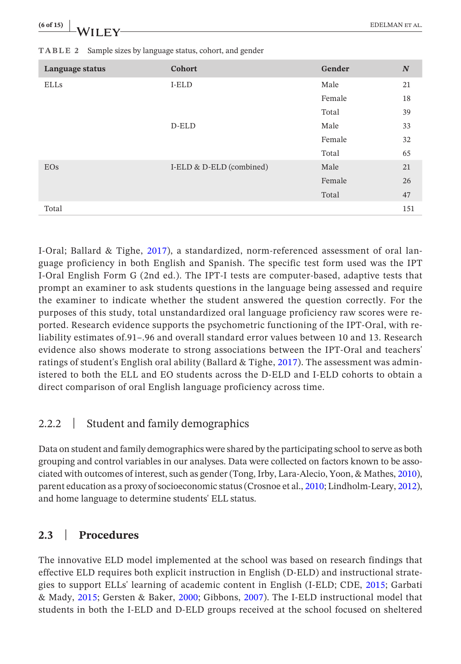| (6 of 15)<br>$-WII$ $FV$ | <b>EDELMAN ET AL.</b> |  |
|--------------------------|-----------------------|--|
|                          | ---                   |  |

| Language status | Cohort                   | Gender | $\boldsymbol{N}$ |
|-----------------|--------------------------|--------|------------------|
| ELLs            | I-ELD                    | Male   | 21               |
|                 |                          | Female | 18               |
|                 |                          | Total  | 39               |
|                 | D-ELD                    | Male   | 33               |
|                 |                          | Female | 32               |
|                 |                          | Total  | 65               |
| EOs             | I-ELD & D-ELD (combined) | Male   | 21               |
|                 |                          | Female | 26               |
|                 |                          | Total  | 47               |
| Total           |                          |        | 151              |

<span id="page-5-0"></span>**TABLE 2** Sample sizes by language status, cohort, and gender

I-Oral; Ballard & Tighe, [2017\)](#page-12-4), a standardized, norm-referenced assessment of oral language proficiency in both English and Spanish. The specific test form used was the IPT I-Oral English Form G (2nd ed.). The IPT-I tests are computer-based, adaptive tests that prompt an examiner to ask students questions in the language being assessed and require the examiner to indicate whether the student answered the question correctly. For the purposes of this study, total unstandardized oral language proficiency raw scores were reported. Research evidence supports the psychometric functioning of the IPT-Oral, with reliability estimates of.91–.96 and overall standard error values between 10 and 13. Research evidence also shows moderate to strong associations between the IPT-Oral and teachers' ratings of student's English oral ability (Ballard & Tighe, [2017](#page-12-4)). The assessment was administered to both the ELL and EO students across the D-ELD and I-ELD cohorts to obtain a direct comparison of oral English language proficiency across time.

## 2.2.2 | Student and family demographics

Data on student and family demographics were shared by the participating school to serve as both grouping and control variables in our analyses. Data were collected on factors known to be associated with outcomes of interest, such as gender (Tong, Irby, Lara-Alecio, Yoon, & Mathes, [2010](#page-14-6)), parent education as a proxy of socioeconomic status (Crosnoe et al., [2010;](#page-12-5) Lindholm-Leary, [2012](#page-13-9)), and home language to determine students' ELL status.

## **2.3** | **Procedures**

The innovative ELD model implemented at the school was based on research findings that effective ELD requires both explicit instruction in English (D-ELD) and instructional strategies to support ELLs' learning of academic content in English (I-ELD; CDE, [2015](#page-12-6); Garbati & Mady, [2015](#page-13-5); Gersten & Baker, [2000](#page-13-10); Gibbons, [2007](#page-13-6)). The I-ELD instructional model that students in both the I-ELD and D-ELD groups received at the school focused on sheltered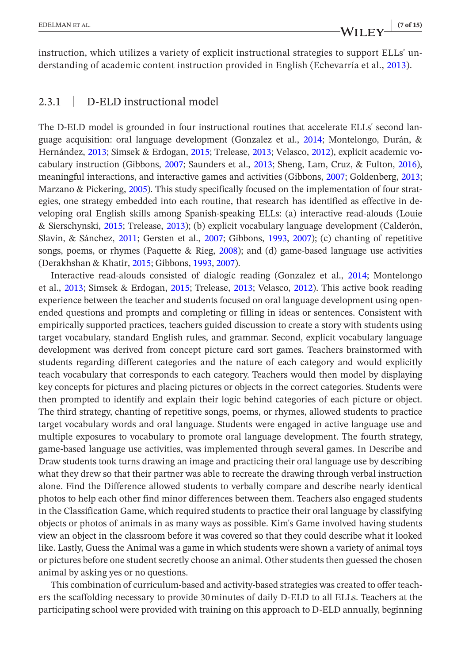instruction, which utilizes a variety of explicit instructional strategies to support ELLs' understanding of academic content instruction provided in English (Echevarría et al., [2013](#page-13-3)).

#### 2.3.1 | D-ELD instructional model

The D-ELD model is grounded in four instructional routines that accelerate ELLs' second language acquisition: oral language development (Gonzalez et al., [2014;](#page-13-11) Montelongo, Durán, & Hernández, [2013](#page-13-12); Simsek & Erdogan, [2015](#page-14-7); Trelease, [2013](#page-14-8); Velasco, [2012](#page-14-9)), explicit academic vocabulary instruction (Gibbons, [2007;](#page-13-6) Saunders et al., [2013](#page-14-5); Sheng, Lam, Cruz, & Fulton, [2016](#page-14-10)), meaningful interactions, and interactive games and activities (Gibbons, [2007;](#page-13-6) Goldenberg, [2013;](#page-13-1) Marzano & Pickering, [2005\)](#page-13-13). This study specifically focused on the implementation of four strategies, one strategy embedded into each routine, that research has identified as effective in developing oral English skills among Spanish-speaking ELLs: (a) interactive read-alouds (Louie & Sierschynski, [2015;](#page-13-14) Trelease, [2013\)](#page-14-8); (b) explicit vocabulary language development (Calderón, Slavin, & Sánchez, [2011](#page-12-7); Gersten et al., [2007;](#page-13-15) Gibbons, [1993,](#page-13-16) [2007\)](#page-13-6); (c) chanting of repetitive songs, poems, or rhymes (Paquette & Rieg, [2008](#page-14-11)); and (d) game-based language use activities (Derakhshan & Khatir, [2015;](#page-13-17) Gibbons, [1993,](#page-13-16) [2007\)](#page-13-6).

Interactive read-alouds consisted of dialogic reading (Gonzalez et al., [2014;](#page-13-11) Montelongo et al., [2013;](#page-13-12) Simsek & Erdogan, [2015](#page-14-7); Trelease, [2013;](#page-14-8) Velasco, [2012\)](#page-14-9). This active book reading experience between the teacher and students focused on oral language development using openended questions and prompts and completing or filling in ideas or sentences. Consistent with empirically supported practices, teachers guided discussion to create a story with students using target vocabulary, standard English rules, and grammar. Second, explicit vocabulary language development was derived from concept picture card sort games. Teachers brainstormed with students regarding different categories and the nature of each category and would explicitly teach vocabulary that corresponds to each category. Teachers would then model by displaying key concepts for pictures and placing pictures or objects in the correct categories. Students were then prompted to identify and explain their logic behind categories of each picture or object. The third strategy, chanting of repetitive songs, poems, or rhymes, allowed students to practice target vocabulary words and oral language. Students were engaged in active language use and multiple exposures to vocabulary to promote oral language development. The fourth strategy, game-based language use activities, was implemented through several games. In Describe and Draw students took turns drawing an image and practicing their oral language use by describing what they drew so that their partner was able to recreate the drawing through verbal instruction alone. Find the Difference allowed students to verbally compare and describe nearly identical photos to help each other find minor differences between them. Teachers also engaged students in the Classification Game, which required students to practice their oral language by classifying objects or photos of animals in as many ways as possible. Kim's Game involved having students view an object in the classroom before it was covered so that they could describe what it looked like. Lastly, Guess the Animal was a game in which students were shown a variety of animal toys or pictures before one student secretly choose an animal. Other students then guessed the chosen animal by asking yes or no questions.

This combination of curriculum-based and activity-based strategies was created to offer teachers the scaffolding necessary to provide 30minutes of daily D-ELD to all ELLs. Teachers at the participating school were provided with training on this approach to D-ELD annually, beginning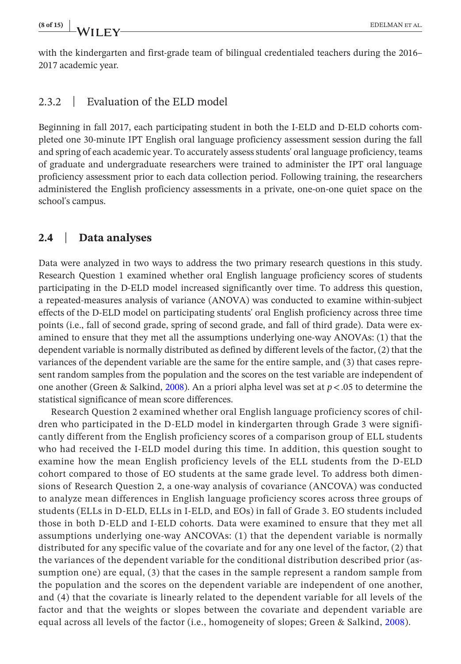with the kindergarten and first-grade team of bilingual credentialed teachers during the 2016– 2017 academic year.

#### 2.3.2 | Evaluation of the ELD model

Beginning in fall 2017, each participating student in both the I-ELD and D-ELD cohorts completed one 30-minute IPT English oral language proficiency assessment session during the fall and spring of each academic year. To accurately assess students' oral language proficiency, teams of graduate and undergraduate researchers were trained to administer the IPT oral language proficiency assessment prior to each data collection period. Following training, the researchers administered the English proficiency assessments in a private, one-on-one quiet space on the school's campus.

#### **2.4** | **Data analyses**

Data were analyzed in two ways to address the two primary research questions in this study. Research Question 1 examined whether oral English language proficiency scores of students participating in the D-ELD model increased significantly over time. To address this question, a repeated-measures analysis of variance (ANOVA) was conducted to examine within-subject effects of the D-ELD model on participating students' oral English proficiency across three time points (i.e., fall of second grade, spring of second grade, and fall of third grade). Data were examined to ensure that they met all the assumptions underlying one-way ANOVAs: (1) that the dependent variable is normally distributed as defined by different levels of the factor, (2) that the variances of the dependent variable are the same for the entire sample, and (3) that cases represent random samples from the population and the scores on the test variable are independent of one another (Green & Salkind, [2008\)](#page-13-18). An a priori alpha level was set at *p*<.05 to determine the statistical significance of mean score differences.

Research Question 2 examined whether oral English language proficiency scores of children who participated in the D-ELD model in kindergarten through Grade 3 were significantly different from the English proficiency scores of a comparison group of ELL students who had received the I-ELD model during this time. In addition, this question sought to examine how the mean English proficiency levels of the ELL students from the D-ELD cohort compared to those of EO students at the same grade level. To address both dimensions of Research Question 2, a one-way analysis of covariance (ANCOVA) was conducted to analyze mean differences in English language proficiency scores across three groups of students (ELLs in D-ELD, ELLs in I-ELD, and EOs) in fall of Grade 3. EO students included those in both D-ELD and I-ELD cohorts. Data were examined to ensure that they met all assumptions underlying one-way ANCOVAs: (1) that the dependent variable is normally distributed for any specific value of the covariate and for any one level of the factor, (2) that the variances of the dependent variable for the conditional distribution described prior (assumption one) are equal, (3) that the cases in the sample represent a random sample from the population and the scores on the dependent variable are independent of one another, and (4) that the covariate is linearly related to the dependent variable for all levels of the factor and that the weights or slopes between the covariate and dependent variable are equal across all levels of the factor (i.e., homogeneity of slopes; Green & Salkind, [2008\)](#page-13-18).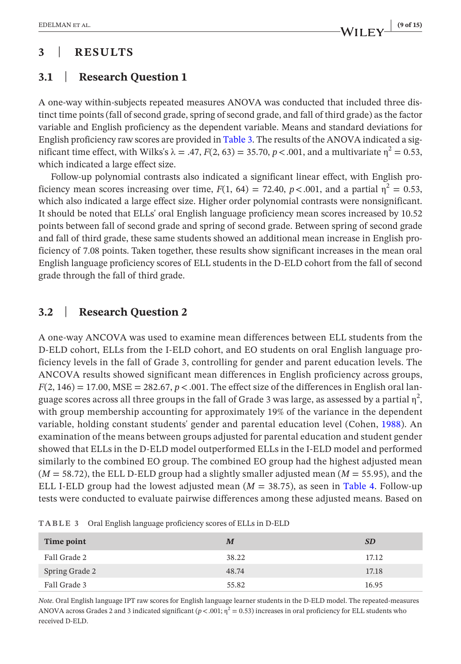## **3** | **RESULTS**

## **3.1** | **Research Question 1**

A one-way within-subjects repeated measures ANOVA was conducted that included three distinct time points (fall of second grade, spring of second grade, and fall of third grade) as the factor variable and English proficiency as the dependent variable. Means and standard deviations for English proficiency raw scores are provided in Table [3](#page-8-0). The results of the ANOVA indicated a significant time effect, with Wilks's  $\lambda = .47$ ,  $F(2, 63) = 35.70$ ,  $p < .001$ , and a multivariate  $\eta^2 = 0.53$ , which indicated a large effect size.

Follow-up polynomial contrasts also indicated a significant linear effect, with English proficiency mean scores increasing over time,  $F(1, 64) = 72.40$ ,  $p < .001$ , and a partial  $\eta^2 = 0.53$ , which also indicated a large effect size. Higher order polynomial contrasts were nonsignificant. It should be noted that ELLs' oral English language proficiency mean scores increased by 10.52 points between fall of second grade and spring of second grade. Between spring of second grade and fall of third grade, these same students showed an additional mean increase in English proficiency of 7.08 points. Taken together, these results show significant increases in the mean oral English language proficiency scores of ELL students in the D-ELD cohort from the fall of second grade through the fall of third grade.

## **3.2** | **Research Question 2**

A one-way ANCOVA was used to examine mean differences between ELL students from the D-ELD cohort, ELLs from the I-ELD cohort, and EO students on oral English language proficiency levels in the fall of Grade 3, controlling for gender and parent education levels. The ANCOVA results showed significant mean differences in English proficiency across groups,  $F(2, 146) = 17.00$ , MSE = 282.67,  $p < .001$ . The effect size of the differences in English oral language scores across all three groups in the fall of Grade 3 was large, as assessed by a partial  $\eta^2$ , with group membership accounting for approximately 19% of the variance in the dependent variable, holding constant students' gender and parental education level (Cohen, [1988\)](#page-12-8). An examination of the means between groups adjusted for parental education and student gender showed that ELLs in the D-ELD model outperformed ELLs in the I-ELD model and performed similarly to the combined EO group. The combined EO group had the highest adjusted mean  $(M = 58.72)$ , the ELL D-ELD group had a slightly smaller adjusted mean  $(M = 55.95)$ , and the ELL I-ELD group had the lowest adjusted mean  $(M = 38.75)$ , as seen in Table [4.](#page-9-0) Follow-up tests were conducted to evaluate pairwise differences among these adjusted means. Based on

| Time point     | M     | <b>SD</b> |
|----------------|-------|-----------|
| Fall Grade 2   | 38.22 | 17.12     |
| Spring Grade 2 | 48.74 | 17.18     |
| Fall Grade 3   | 55.82 | 16.95     |

<span id="page-8-0"></span>**TABLE 3** Oral English language proficiency scores of ELLs in D-ELD

*Note*. Oral English language IPT raw scores for English language learner students in the D-ELD model. The repeated-measures ANOVA across Grades 2 and 3 indicated significant ( $p < .001$ ;  $\eta^2 = 0.53$ ) increases in oral proficiency for ELL students who received D-ELD.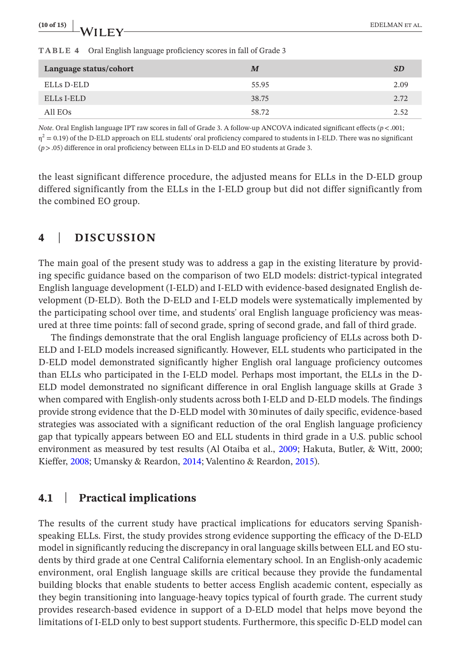<span id="page-9-0"></span>

| (10 of 15)<br>$\frac{100127}{100127}$ WILEY-                               |       | EDELMAN ET AL. |
|----------------------------------------------------------------------------|-------|----------------|
| <b>TABLE 4</b> Oral English language proficiency scores in fall of Grade 3 |       |                |
| Language status/cohort                                                     | M     | <b>SD</b>      |
| ELLs D-ELD                                                                 | 55.95 | 2.09           |

*Note*. Oral English language IPT raw scores in fall of Grade 3. A follow-up ANCOVA indicated significant effects (*p*<.001;  $\eta^2 = 0.19$ ) of the D-ELD approach on ELL students' oral proficiency compared to students in I-ELD. There was no significant (*p*>.05) difference in oral proficiency between ELLs in D-ELD and EO students at Grade 3.

ELLs I-ELD 38.75 2.72 All EOs  $58.72$  2.52

the least significant difference procedure, the adjusted means for ELLs in the D-ELD group differed significantly from the ELLs in the I-ELD group but did not differ significantly from the combined EO group.

#### **4** | **DISCUSSION**

The main goal of the present study was to address a gap in the existing literature by providing specific guidance based on the comparison of two ELD models: district-typical integrated English language development (I-ELD) and I-ELD with evidence-based designated English development (D-ELD). Both the D-ELD and I-ELD models were systematically implemented by the participating school over time, and students' oral English language proficiency was measured at three time points: fall of second grade, spring of second grade, and fall of third grade.

The findings demonstrate that the oral English language proficiency of ELLs across both D-ELD and I-ELD models increased significantly. However, ELL students who participated in the D-ELD model demonstrated significantly higher English oral language proficiency outcomes than ELLs who participated in the I-ELD model. Perhaps most important, the ELLs in the D-ELD model demonstrated no significant difference in oral English language skills at Grade 3 when compared with English-only students across both I-ELD and D-ELD models. The findings provide strong evidence that the D-ELD model with 30minutes of daily specific, evidence-based strategies was associated with a significant reduction of the oral English language proficiency gap that typically appears between EO and ELL students in third grade in a U.S. public school environment as measured by test results (Al Otaiba et al., [2009;](#page-12-9) Hakuta, Butler, & Witt, 2000; Kieffer, [2008;](#page-13-19) Umansky & Reardon, [2014;](#page-14-12) Valentino & Reardon, [2015](#page-14-13)).

#### **4.1** | **Practical implications**

The results of the current study have practical implications for educators serving Spanishspeaking ELLs. First, the study provides strong evidence supporting the efficacy of the D-ELD model in significantly reducing the discrepancy in oral language skills between ELL and EO students by third grade at one Central California elementary school. In an English-only academic environment, oral English language skills are critical because they provide the fundamental building blocks that enable students to better access English academic content, especially as they begin transitioning into language-heavy topics typical of fourth grade. The current study provides research-based evidence in support of a D-ELD model that helps move beyond the limitations of I-ELD only to best support students. Furthermore, this specific D-ELD model can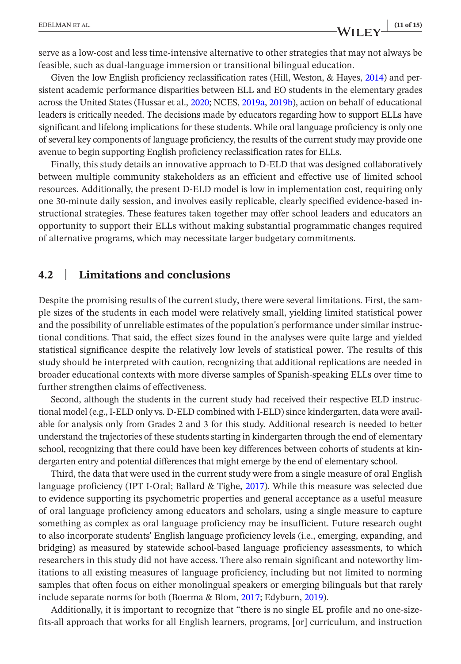**EDELMAN ET AL.** (11 of 15)<br> **WII FY** (11 of 15)

serve as a low-cost and less time-intensive alternative to other strategies that may not always be feasible, such as dual-language immersion or transitional bilingual education.

Given the low English proficiency reclassification rates (Hill, Weston, & Hayes, [2014](#page-13-20)) and persistent academic performance disparities between ELL and EO students in the elementary grades across the United States (Hussar et al., [2020;](#page-13-0) NCES, [2019a](#page-14-0), [2019b\)](#page-14-1), action on behalf of educational leaders is critically needed. The decisions made by educators regarding how to support ELLs have significant and lifelong implications for these students. While oral language proficiency is only one of several key components of language proficiency, the results of the current study may provide one avenue to begin supporting English proficiency reclassification rates for ELLs.

Finally, this study details an innovative approach to D-ELD that was designed collaboratively between multiple community stakeholders as an efficient and effective use of limited school resources. Additionally, the present D-ELD model is low in implementation cost, requiring only one 30-minute daily session, and involves easily replicable, clearly specified evidence-based instructional strategies. These features taken together may offer school leaders and educators an opportunity to support their ELLs without making substantial programmatic changes required of alternative programs, which may necessitate larger budgetary commitments.

#### **4.2** | **Limitations and conclusions**

Despite the promising results of the current study, there were several limitations. First, the sample sizes of the students in each model were relatively small, yielding limited statistical power and the possibility of unreliable estimates of the population's performance under similar instructional conditions. That said, the effect sizes found in the analyses were quite large and yielded statistical significance despite the relatively low levels of statistical power. The results of this study should be interpreted with caution, recognizing that additional replications are needed in broader educational contexts with more diverse samples of Spanish-speaking ELLs over time to further strengthen claims of effectiveness.

Second, although the students in the current study had received their respective ELD instructional model (e.g., I-ELD only vs. D-ELD combined with I-ELD) since kindergarten, data were available for analysis only from Grades 2 and 3 for this study. Additional research is needed to better understand the trajectories of these students starting in kindergarten through the end of elementary school, recognizing that there could have been key differences between cohorts of students at kindergarten entry and potential differences that might emerge by the end of elementary school.

Third, the data that were used in the current study were from a single measure of oral English language proficiency (IPT I-Oral; Ballard & Tighe, [2017\)](#page-12-4). While this measure was selected due to evidence supporting its psychometric properties and general acceptance as a useful measure of oral language proficiency among educators and scholars, using a single measure to capture something as complex as oral language proficiency may be insufficient. Future research ought to also incorporate students' English language proficiency levels (i.e., emerging, expanding, and bridging) as measured by statewide school-based language proficiency assessments, to which researchers in this study did not have access. There also remain significant and noteworthy limitations to all existing measures of language proficiency, including but not limited to norming samples that often focus on either monolingual speakers or emerging bilinguals but that rarely include separate norms for both (Boerma & Blom, [2017](#page-12-10); Edyburn, [2019\)](#page-13-21).

Additionally, it is important to recognize that "there is no single EL profile and no one-sizefits-all approach that works for all English learners, programs, [or] curriculum, and instruction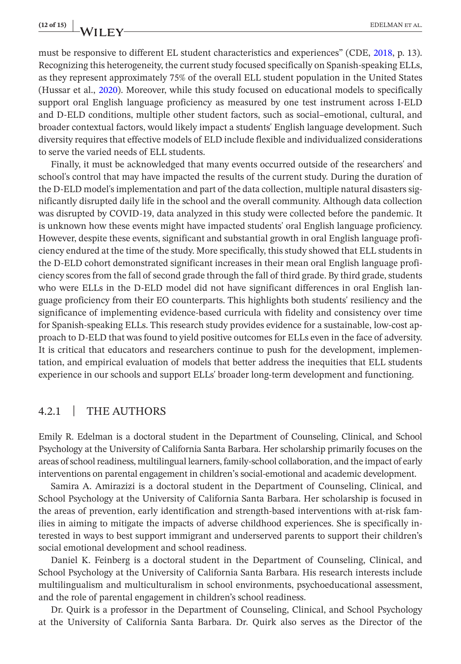**(12 of 15) <sup>|</sup>** EDELMAN et al.

must be responsive to different EL student characteristics and experiences" (CDE, [2018,](#page-12-11) p. 13). Recognizing this heterogeneity, the current study focused specifically on Spanish-speaking ELLs, as they represent approximately 75% of the overall ELL student population in the United States (Hussar et al., [2020\)](#page-13-0). Moreover, while this study focused on educational models to specifically support oral English language proficiency as measured by one test instrument across I-ELD and D-ELD conditions, multiple other student factors, such as social–emotional, cultural, and broader contextual factors, would likely impact a students' English language development. Such diversity requires that effective models of ELD include flexible and individualized considerations to serve the varied needs of ELL students.

Finally, it must be acknowledged that many events occurred outside of the researchers' and school's control that may have impacted the results of the current study. During the duration of the D-ELD model's implementation and part of the data collection, multiple natural disasters significantly disrupted daily life in the school and the overall community. Although data collection was disrupted by COVID-19, data analyzed in this study were collected before the pandemic. It is unknown how these events might have impacted students' oral English language proficiency. However, despite these events, significant and substantial growth in oral English language proficiency endured at the time of the study. More specifically, this study showed that ELL students in the D-ELD cohort demonstrated significant increases in their mean oral English language proficiency scores from the fall of second grade through the fall of third grade. By third grade, students who were ELLs in the D-ELD model did not have significant differences in oral English language proficiency from their EO counterparts. This highlights both students' resiliency and the significance of implementing evidence-based curricula with fidelity and consistency over time for Spanish-speaking ELLs. This research study provides evidence for a sustainable, low-cost approach to D-ELD that was found to yield positive outcomes for ELLs even in the face of adversity. It is critical that educators and researchers continue to push for the development, implementation, and empirical evaluation of models that better address the inequities that ELL students experience in our schools and support ELLs' broader long-term development and functioning.

#### 4.2.1 | THE AUTHORS

Emily R. Edelman is a doctoral student in the Department of Counseling, Clinical, and School Psychology at the University of California Santa Barbara. Her scholarship primarily focuses on the areas of school readiness, multilingual learners, family-school collaboration, and the impact of early interventions on parental engagement in children's social-emotional and academic development.

Samira A. Amirazizi is a doctoral student in the Department of Counseling, Clinical, and School Psychology at the University of California Santa Barbara. Her scholarship is focused in the areas of prevention, early identification and strength-based interventions with at-risk families in aiming to mitigate the impacts of adverse childhood experiences. She is specifically interested in ways to best support immigrant and underserved parents to support their children's social emotional development and school readiness.

Daniel K. Feinberg is a doctoral student in the Department of Counseling, Clinical, and School Psychology at the University of California Santa Barbara. His research interests include multilingualism and multiculturalism in school environments, psychoeducational assessment, and the role of parental engagement in children's school readiness.

Dr. Quirk is a professor in the Department of Counseling, Clinical, and School Psychology at the University of California Santa Barbara. Dr. Quirk also serves as the Director of the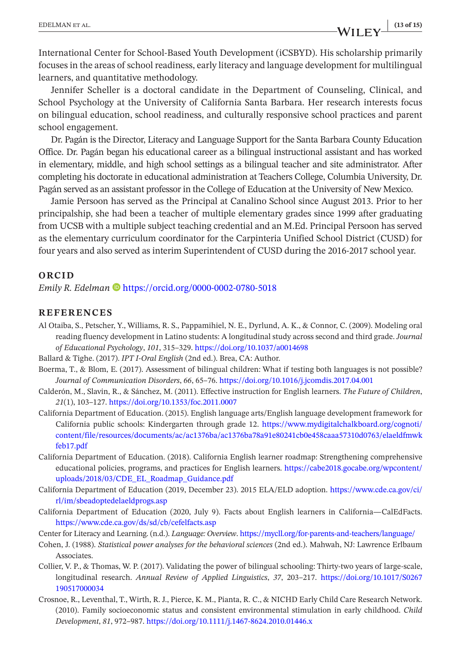International Center for School-Based Youth Development (iCSBYD). His scholarship primarily focuses in the areas of school readiness, early literacy and language development for multilingual learners, and quantitative methodology.

Jennifer Scheller is a doctoral candidate in the Department of Counseling, Clinical, and School Psychology at the University of California Santa Barbara. Her research interests focus on bilingual education, school readiness, and culturally responsive school practices and parent school engagement.

Dr. Pagán is the Director, Literacy and Language Support for the Santa Barbara County Education Office. Dr. Pagán began his educational career as a bilingual instructional assistant and has worked in elementary, middle, and high school settings as a bilingual teacher and site administrator. After completing his doctorate in educational administration at Teachers College, Columbia University, Dr. Pagán served as an assistant professor in the College of Education at the University of New Mexico.

Jamie Persoon has served as the Principal at Canalino School since August 2013. Prior to her principalship, she had been a teacher of multiple elementary grades since 1999 after graduating from UCSB with a multiple subject teaching credential and an M.Ed. Principal Persoon has served as the elementary curriculum coordinator for the Carpinteria Unified School District (CUSD) for four years and also served as interim Superintendent of CUSD during the 2016-2017 school year.

#### **ORCID**

*Emily R. Edelman* **D** <https://orcid.org/0000-0002-0780-5018>

#### **REFERENCES**

<span id="page-12-9"></span>Al Otaiba, S., Petscher, Y., Williams, R. S., Pappamihiel, N. E., Dyrlund, A. K., & Connor, C. (2009). Modeling oral reading fluency development in Latino students: A longitudinal study across second and third grade. *Journal of Educational Psychology*, *101*, 315–329. <https://doi.org/10.1037/a0014698>

<span id="page-12-4"></span>Ballard & Tighe. (2017). *IPT I-Oral English* (2nd ed.). Brea, CA: Author.

- <span id="page-12-10"></span>Boerma, T., & Blom, E. (2017). Assessment of bilingual children: What if testing both languages is not possible? *Journal of Communication Disorders*, *66*, 65–76. <https://doi.org/10.1016/j.jcomdis.2017.04.001>
- <span id="page-12-7"></span>Calderón, M., Slavin, R., & Sánchez, M. (2011). Effective instruction for English learners. *The Future of Children*, *21*(1), 103–127. <https://doi.org/10.1353/foc.2011.0007>
- <span id="page-12-6"></span>California Department of Education. (2015). English language arts/English language development framework for California public schools: Kindergarten through grade 12. [https://www.mydigitalchalkboard.org/cognoti/](https://www.mydigitalchalkboard.org/cognoti/content/file/resources/documents/ac/ac1376ba/ac1376ba78a91e80241cb0e458caaa57310d0763/elaeldfmwkfeb17.pdf) [content/file/resources/documents/ac/ac1376ba/ac1376ba78a91e80241cb0e458caaa57310d0763/elaeldfmwk](https://www.mydigitalchalkboard.org/cognoti/content/file/resources/documents/ac/ac1376ba/ac1376ba78a91e80241cb0e458caaa57310d0763/elaeldfmwkfeb17.pdf) [feb17.pdf](https://www.mydigitalchalkboard.org/cognoti/content/file/resources/documents/ac/ac1376ba/ac1376ba78a91e80241cb0e458caaa57310d0763/elaeldfmwkfeb17.pdf)
- <span id="page-12-11"></span>California Department of Education. (2018). California English learner roadmap: Strengthening comprehensive educational policies, programs, and practices for English learners. [https://cabe2018.gocabe.org/wpcontent/](https://cabe2018.gocabe.org/wpcontent/uploads/2018/03/CDE_EL_Roadmap_Guidance.pdf) [uploads/2018/03/CDE\\_EL\\_Roadmap\\_Guidance.pdf](https://cabe2018.gocabe.org/wpcontent/uploads/2018/03/CDE_EL_Roadmap_Guidance.pdf)
- <span id="page-12-2"></span>California Department of Education (2019, December 23). 2015 ELA/ELD adoption. [https://www.cde.ca.gov/ci/](https://www.cde.ca.gov/ci/rl/im/sbeadoptedelaeldprogs.asp) [rl/im/sbeadoptedelaeldprogs.asp](https://www.cde.ca.gov/ci/rl/im/sbeadoptedelaeldprogs.asp)
- <span id="page-12-0"></span>California Department of Education (2020, July 9). Facts about English learners in California—CalEdFacts. <https://www.cde.ca.gov/ds/sd/cb/cefelfacts.asp>
- <span id="page-12-3"></span>Center for Literacy and Learning. (n.d.). *Language: Overview*.<https://mycll.org/for-parents-and-teachers/language/>
- <span id="page-12-8"></span>Cohen, J. (1988). *Statistical power analyses for the behavioral sciences* (2nd ed.). Mahwah, NJ: Lawrence Erlbaum Associates.
- <span id="page-12-1"></span>Collier, V. P., & Thomas, W. P. (2017). Validating the power of bilingual schooling: Thirty-two years of large-scale, longitudinal research. *Annual Review of Applied Linguistics*, *37*, 203–217. [https://doi.org/10.1017/S0267](https://doi.org/10.1017/S0267190517000034) [190517000034](https://doi.org/10.1017/S0267190517000034)
- <span id="page-12-5"></span>Crosnoe, R., Leventhal, T., Wirth, R. J., Pierce, K. M., Pianta, R. C., & NICHD Early Child Care Research Network. (2010). Family socioeconomic status and consistent environmental stimulation in early childhood. *Child Development*, *81*, 972–987.<https://doi.org/10.1111/j.1467-8624.2010.01446.x>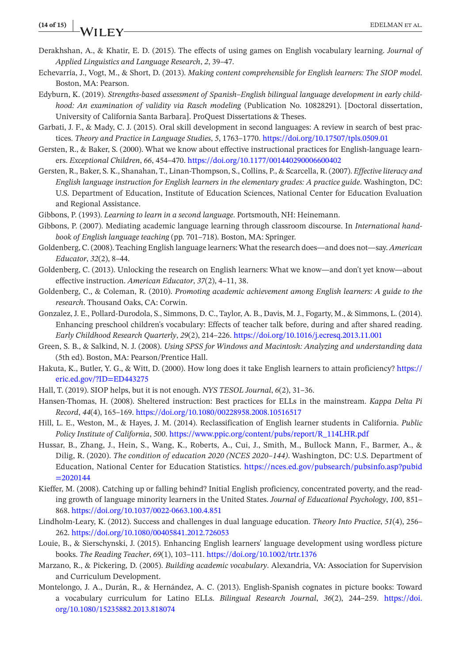#### **(14 of 15) <sup>|</sup>** EDELMAN et al.

- <span id="page-13-17"></span>Derakhshan, A., & Khatir, E. D. (2015). The effects of using games on English vocabulary learning. *Journal of Applied Linguistics and Language Research*, *2*, 39–47.
- <span id="page-13-3"></span>Echevarría, J., Vogt, M., & Short, D. (2013). *Making content comprehensible for English learners: The SIOP model*. Boston, MA: Pearson.
- <span id="page-13-21"></span>Edyburn, K. (2019). *Strengths-based assessment of Spanish–English bilingual language development in early childhood: An examination of validity via Rasch modeling* (Publication No. 10828291). [Doctoral dissertation, University of California Santa Barbara]. ProQuest Dissertations & Theses.
- <span id="page-13-5"></span>Garbati, J. F., & Mady, C. J. (2015). Oral skill development in second languages: A review in search of best practices. *Theory and Practice in Language Studies*, *5*, 1763–1770.<https://doi.org/10.17507/tpls.0509.01>
- <span id="page-13-10"></span>Gersten, R., & Baker, S. (2000). What we know about effective instructional practices for English-language learners. *Exceptional Children*, *66*, 454–470.<https://doi.org/10.1177/001440290006600402>
- <span id="page-13-15"></span>Gersten, R., Baker, S. K., Shanahan, T., Linan-Thompson, S., Collins, P., & Scarcella, R. (2007). *Effective literacy and English language instruction for English learners in the elementary grades: A practice guide*. Washington, DC: U.S. Department of Education, Institute of Education Sciences, National Center for Education Evaluation and Regional Assistance.
- <span id="page-13-16"></span>Gibbons, P. (1993). *Learning to learn in a second language*. Portsmouth, NH: Heinemann.
- <span id="page-13-6"></span>Gibbons, P. (2007). Mediating academic language learning through classroom discourse. In *International handbook of English language teaching* (pp. 701–718). Boston, MA: Springer.
- <span id="page-13-7"></span>Goldenberg, C. (2008). Teaching English language learners: What the research does—and does not—say. *American Educator*, *32*(2), 8–44.
- <span id="page-13-1"></span>Goldenberg, C. (2013). Unlocking the research on English learners: What we know—and don't yet know—about effective instruction. *American Educator*, *37*(2), 4–11, 38.
- <span id="page-13-8"></span>Goldenberg, C., & Coleman, R. (2010). *Promoting academic achievement among English learners: A guide to the research*. Thousand Oaks, CA: Corwin.
- <span id="page-13-11"></span>Gonzalez, J. E., Pollard-Durodola, S., Simmons, D. C., Taylor, A. B., Davis, M. J., Fogarty, M., & Simmons, L. (2014). Enhancing preschool children's vocabulary: Effects of teacher talk before, during and after shared reading. *Early Childhood Research Quarterly*, *29*(2), 214–226. <https://doi.org/10.1016/j.ecresq.2013.11.001>
- <span id="page-13-18"></span>Green, S. B., & Salkind, N. J. (2008). *Using SPSS for Windows and Macintosh: Analyzing and understanding data* (5th ed). Boston, MA: Pearson/Prentice Hall.
- Hakuta, K., Butler, Y. G., & Witt, D. (2000). How long does it take English learners to attain proficiency? [https://](https://eric.ed.gov/?ID=ED443275) [eric.ed.gov/?ID=ED443275](https://eric.ed.gov/?ID=ED443275)
- <span id="page-13-4"></span>Hall, T. (2019). SIOP helps, but it is not enough. *NYS TESOL Journal*, *6*(2), 31–36.
- <span id="page-13-2"></span>Hansen-Thomas, H. (2008). Sheltered instruction: Best practices for ELLs in the mainstream. *Kappa Delta Pi Record*, *44*(4), 165–169. <https://doi.org/10.1080/00228958.2008.10516517>
- <span id="page-13-20"></span>Hill, L. E., Weston, M., & Hayes, J. M. (2014). Reclassification of English learner students in California. *Public Policy Institute of California*, *500*. [https://www.ppic.org/content/pubs/report/R\\_114LHR.pdf](https://www.ppic.org/content/pubs/report/R_114LHR.pdf)
- <span id="page-13-0"></span>Hussar, B., Zhang, J., Hein, S., Wang, K., Roberts, A., Cui, J., Smith, M., Bullock Mann, F., Barmer, A., & Dilig, R. (2020). *The condition of education 2020 (NCES 2020–144)*. Washington, DC: U.S. Department of Education, National Center for Education Statistics. [https://nces.ed.gov/pubsearch/pubsinfo.asp?pubid](https://nces.ed.gov/pubsearch/pubsinfo.asp?pubid=2020144)  $=2020144$
- <span id="page-13-19"></span>Kieffer, M. (2008). Catching up or falling behind? Initial English proficiency, concentrated poverty, and the reading growth of language minority learners in the United States. *Journal of Educational Psychology*, *100*, 851– 868.<https://doi.org/10.1037/0022-0663.100.4.851>
- <span id="page-13-9"></span>Lindholm-Leary, K. (2012). Success and challenges in dual language education. *Theory Into Practice*, *51*(4), 256– 262.<https://doi.org/10.1080/00405841.2012.726053>
- <span id="page-13-14"></span>Louie, B., & Sierschynski, J. (2015). Enhancing English learners' language development using wordless picture books. *The Reading Teacher*, *69*(1), 103–111.<https://doi.org/10.1002/trtr.1376>
- <span id="page-13-13"></span>Marzano, R., & Pickering, D. (2005). *Building academic vocabulary*. Alexandria, VA: Association for Supervision and Curriculum Development.
- <span id="page-13-12"></span>Montelongo, J. A., Durán, R., & Hernández, A. C. (2013). English-Spanish cognates in picture books: Toward a vocabulary curriculum for Latino ELLs. *Bilingual Research Journal*, *36*(2), 244–259. [https://doi.](https://doi.org/10.1080/15235882.2013.818074) [org/10.1080/15235882.2013.818074](https://doi.org/10.1080/15235882.2013.818074)